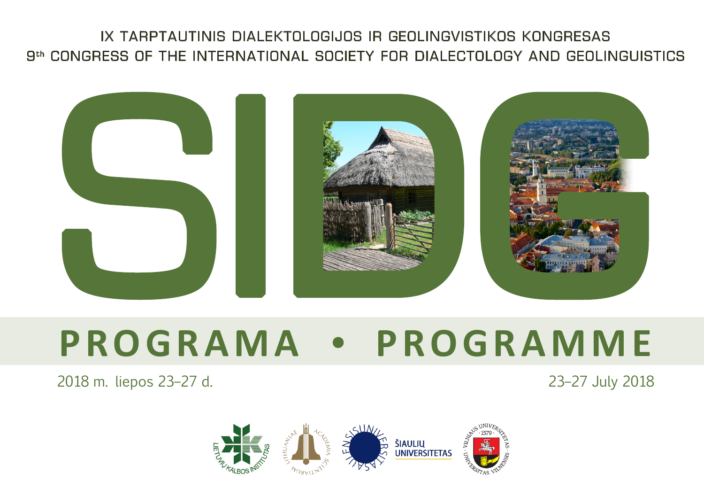## IX TARPTAUTINIS DIALEKTOLOGIJOS IR GEOLINGVISTIKOS KONGRESAS 9th CONGRESS OF THE INTERNATIONAL SOCIETY FOR DIALECTOLOGY AND GEOLINGUISTICS



# **P R O G R A M A • P R O G R A M M E**<br>2018 m. liepos 23–27 d.

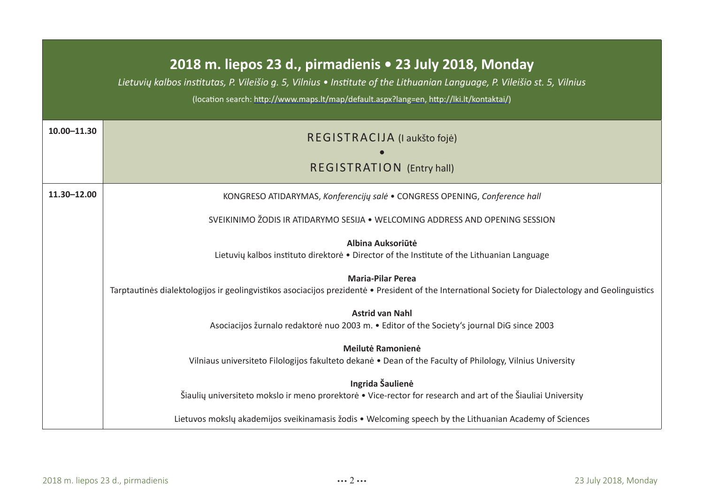#### **2018 m. liepos 23 d., pirmadienis • 23 July 2018, Monday**

*Lietuvių kalbos institutas, P. Vileišio g. 5, Vilnius • Institute of the Lithuanian Language, P. Vileišio st. 5, Vilnius*

(location search: http://www.maps.lt/map/default.aspx?lang=en, http://lki.lt/kontaktai/)

| 10.00-11.30 | REGISTRACIJA (I aukšto fojė)                                                                                                                                                    |
|-------------|---------------------------------------------------------------------------------------------------------------------------------------------------------------------------------|
|             | REGISTRATION (Entry hall)                                                                                                                                                       |
| 11.30-12.00 | KONGRESO ATIDARYMAS, Konferencijy salė • CONGRESS OPENING, Conference hall                                                                                                      |
|             | SVEIKINIMO ŽODIS IR ATIDARYMO SESIJA . WELCOMING ADDRESS AND OPENING SESSION                                                                                                    |
|             | Albina Auksoriūtė<br>Lietuviy kalbos instituto direktore • Director of the Institute of the Lithuanian Language                                                                 |
|             | <b>Maria-Pilar Perea</b><br>Tarptautines dialektologijos ir geolingvistikos asociacijos prezidentė • President of the International Society for Dialectology and Geolinguistics |
|             | <b>Astrid van Nahl</b><br>Asociacijos žurnalo redaktorė nuo 2003 m. • Editor of the Society's journal DiG since 2003                                                            |
|             | Meilutė Ramonienė<br>Vilniaus universiteto Filologijos fakulteto dekanė • Dean of the Faculty of Philology, Vilnius University                                                  |
|             | Ingrida Šaulienė<br>Šiaulių universiteto mokslo ir meno prorektorė • Vice-rector for research and art of the Šiauliai University                                                |
|             | Lietuvos mokslų akademijos sveikinamasis žodis • Welcoming speech by the Lithuanian Academy of Sciences                                                                         |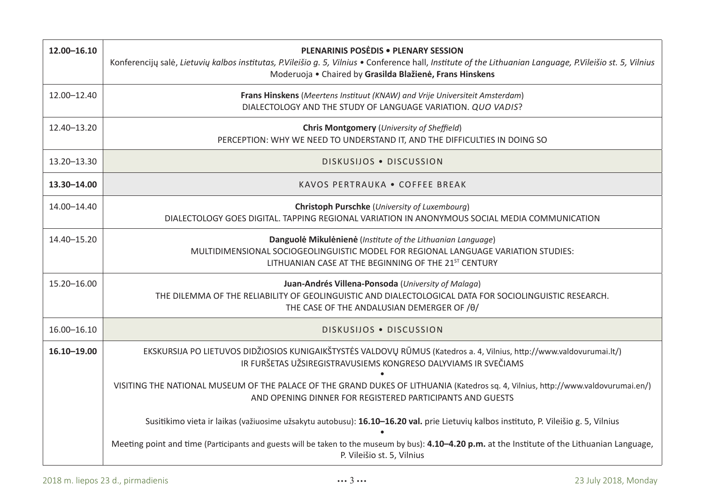| 12.00-16.10 | <b>PLENARINIS POSEDIS . PLENARY SESSION</b><br>Konferencijy salė, Lietuviy kalbos institutas, P.Vileišio q. 5, Vilnius • Conference hall, Institute of the Lithuanian Language, P.Vileišio st. 5, Vilnius<br>Moderuoja • Chaired by Grasilda Blažienė, Frans Hinskens |
|-------------|-----------------------------------------------------------------------------------------------------------------------------------------------------------------------------------------------------------------------------------------------------------------------|
| 12.00-12.40 | Frans Hinskens (Meertens Instituut (KNAW) and Vrije Universiteit Amsterdam)<br>DIALECTOLOGY AND THE STUDY OF LANGUAGE VARIATION, QUO VADIS?                                                                                                                           |
| 12.40-13.20 | <b>Chris Montgomery (University of Sheffield)</b><br>PERCEPTION: WHY WE NEED TO UNDERSTAND IT, AND THE DIFFICULTIES IN DOING SO                                                                                                                                       |
| 13.20-13.30 | DISKUSIJOS . DISCUSSION                                                                                                                                                                                                                                               |
| 13.30-14.00 | KAVOS PERTRAUKA . COFFEE BREAK                                                                                                                                                                                                                                        |
| 14.00-14.40 | Christoph Purschke (University of Luxembourg)<br>DIALECTOLOGY GOES DIGITAL. TAPPING REGIONAL VARIATION IN ANONYMOUS SOCIAL MEDIA COMMUNICATION                                                                                                                        |
| 14.40-15.20 | Danguolė Mikulėnienė (Institute of the Lithuanian Language)<br>MULTIDIMENSIONAL SOCIOGEOLINGUISTIC MODEL FOR REGIONAL LANGUAGE VARIATION STUDIES:<br>LITHUANIAN CASE AT THE BEGINNING OF THE 21 <sup>ST</sup> CENTURY                                                 |
| 15.20-16.00 | Juan-Andrés Villena-Ponsoda (University of Malaga)<br>THE DILEMMA OF THE RELIABILITY OF GEOLINGUISTIC AND DIALECTOLOGICAL DATA FOR SOCIOLINGUISTIC RESEARCH.<br>THE CASE OF THE ANDALUSIAN DEMERGER OF /0/                                                            |
| 16.00-16.10 | DISKUSIJOS . DISCUSSION                                                                                                                                                                                                                                               |
| 16.10-19.00 | EKSKURSIJA PO LIETUVOS DIDŽIOSIOS KUNIGAIKŠTYSTĖS VALDOVŲ RŪMUS (Katedros a. 4, Vilnius, http://www.valdovurumai.lt/)<br>IR FURŠETAS UŽSIREGISTRAVUSIEMS KONGRESO DALYVIAMS IR SVEČIAMS                                                                               |
|             | VISITING THE NATIONAL MUSEUM OF THE PALACE OF THE GRAND DUKES OF LITHUANIA (Katedros sq. 4, Vilnius, http://www.valdovurumai.en/)<br>AND OPENING DINNER FOR REGISTERED PARTICIPANTS AND GUESTS                                                                        |
|             | Susitikimo vieta ir laikas (važiuosime užsakytu autobusu): 16.10-16.20 val. prie Lietuvių kalbos instituto, P. Vileišio g. 5, Vilnius                                                                                                                                 |
|             | Meeting point and time (Participants and guests will be taken to the museum by bus): 4.10–4.20 p.m. at the Institute of the Lithuanian Language,<br>P. Vileišio st. 5, Vilnius                                                                                        |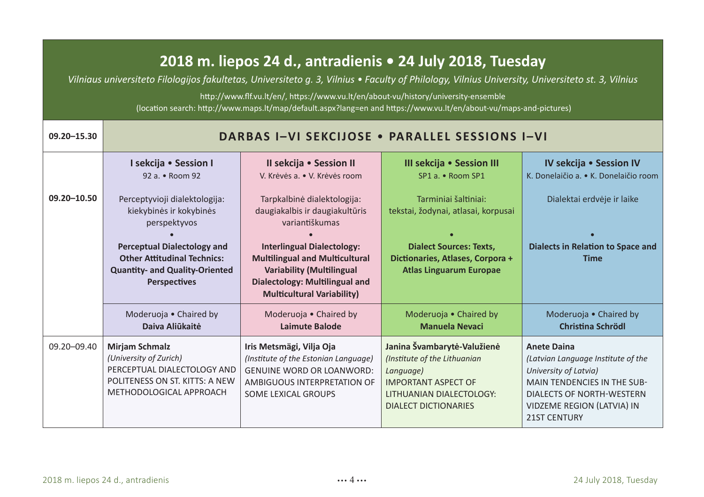### **2018 m. liepos 24 d., antradienis • 24 July 2018, Tuesday**

*Vilniaus universiteto Filologijos fakultetas, Universiteto g. 3, Vilnius • Faculty of Philology, Vilnius University, Universiteto st. 3, Vilnius*

http://www.flf.vu.lt/en/, https://www.vu.lt/en/about-vu/history/university-ensemble (location search: http://www.maps.lt/map/default.aspx?lang=en and https://www.vu.lt/en/about-vu/maps-and-pictures)

| 09.20-15.30     | <b>DARBAS I-VI SEKCIJOSE . PARALLEL SESSIONS I-VI</b>                                                                                                                                                         |                                                                                                                                                                                                                                                                          |                                                                                                                                                                     |                                                                                                                                                                                                                  |
|-----------------|---------------------------------------------------------------------------------------------------------------------------------------------------------------------------------------------------------------|--------------------------------------------------------------------------------------------------------------------------------------------------------------------------------------------------------------------------------------------------------------------------|---------------------------------------------------------------------------------------------------------------------------------------------------------------------|------------------------------------------------------------------------------------------------------------------------------------------------------------------------------------------------------------------|
|                 | I sekcija • Session I<br>92 a. • Room 92                                                                                                                                                                      | Il sekcija • Session II<br>V. Krėvės a. • V. Krėvės room                                                                                                                                                                                                                 | III sekcija • Session III<br>SP1 a. • Room SP1                                                                                                                      | IV sekcija • Session IV<br>K. Donelajčio a. • K. Donelajčio room                                                                                                                                                 |
| 09.20-10.50     | Perceptyvioji dialektologija:<br>kiekybinės ir kokybinės<br>perspektyvos<br>Perceptual Dialectology and<br><b>Other Attitudinal Technics:</b><br><b>Quantity- and Quality-Oriented</b><br><b>Perspectives</b> | Tarpkalbinė dialektologija:<br>daugiakalbis ir daugiakultūris<br>variantiškumas<br><b>Interlingual Dialectology:</b><br><b>Multilingual and Multicultural</b><br><b>Variability (Multilingual</b><br>Dialectology: Multilingual and<br><b>Multicultural Variability)</b> | Tarminiai šaltiniai:<br>tekstai, žodynai, atlasai, korpusai<br><b>Dialect Sources: Texts,</b><br>Dictionaries, Atlases, Corpora +<br><b>Atlas Linguarum Europae</b> | Dialektai erdvėje ir laike<br>Dialects in Relation to Space and<br><b>Time</b>                                                                                                                                   |
|                 | Moderuoja . Chaired by<br>Daiva Aliūkaitė                                                                                                                                                                     | Moderuoja • Chaired by<br>Laimute Balode                                                                                                                                                                                                                                 | Moderuoja • Chaired by<br><b>Manuela Nevaci</b>                                                                                                                     | Moderuoja • Chaired by<br>Christina Schrödl                                                                                                                                                                      |
| $09.20 - 09.40$ | Mirjam Schmalz<br>(University of Zurich)<br>PERCEPTUAL DIALECTOLOGY AND<br>POLITENESS ON ST. KITTS: A NEW<br>METHODOLOGICAL APPROACH                                                                          | Iris Metsmägi, Vilja Oja<br>(Institute of the Estonian Language)<br><b>GENUINE WORD OR LOANWORD:</b><br>AMBIGUOUS INTERPRETATION OF<br>SOME LEXICAL GROUPS                                                                                                               | Janina Švambarytė-Valužienė<br>(Institute of the Lithuanian<br>Language)<br><b>IMPORTANT ASPECT OF</b><br>LITHUANIAN DIALECTOLOGY:<br><b>DIALECT DICTIONARIES</b>   | <b>Anete Daina</b><br>(Latvian Language Institute of the<br>University of Latvia)<br><b>MAIN TENDENCIES IN THE SUB-</b><br><b>DIALECTS OF NORTH-WESTERN</b><br>VIDZEME REGION (LATVIA) IN<br><b>21ST CENTURY</b> |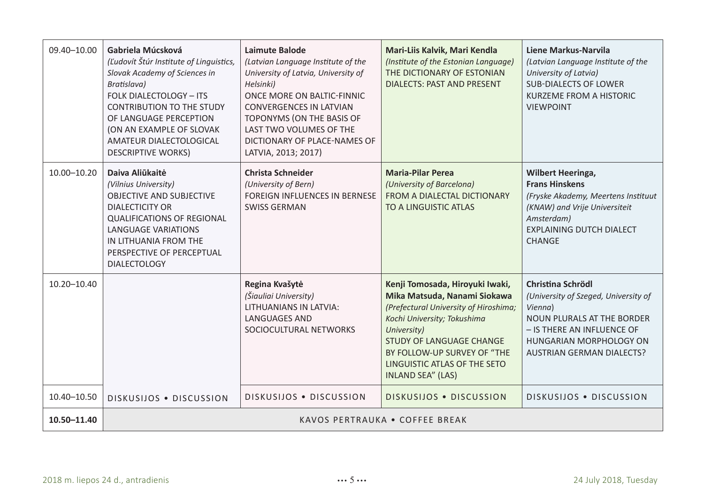| 09.40-10.00 | Gabriela Múcsková<br>(Ľudovít Štúr Institute of Linguistics,<br>Slovak Academy of Sciences in<br>Bratislava)<br><b>FOLK DIALECTOLOGY - ITS</b><br><b>CONTRIBUTION TO THE STUDY</b><br>OF LANGUAGE PERCEPTION<br>(ON AN EXAMPLE OF SLOVAK)<br>AMATEUR DIALECTOLOGICAL<br><b>DESCRIPTIVE WORKS)</b> | Laimute Balode<br>(Latvian Language Institute of the<br>University of Latvia, University of<br>Helsinki)<br>ONCE MORE ON BALTIC-FINNIC<br><b>CONVERGENCES IN LATVIAN</b><br>TOPONYMS (ON THE BASIS OF<br>LAST TWO VOLUMES OF THE<br>DICTIONARY OF PLACE-NAMES OF<br>LATVIA, 2013; 2017) | Mari-Liis Kalvik, Mari Kendla<br>(Institute of the Estonian Language)<br>THE DICTIONARY OF ESTONIAN<br><b>DIALECTS: PAST AND PRESENT</b>                                                                                                                                      | Liene Markus-Narvila<br>(Latvian Language Institute of the<br>University of Latvia)<br><b>SUB-DIALECTS OF LOWER</b><br><b>KURZEME FROM A HISTORIC</b><br><b>VIEWPOINT</b>                                     |
|-------------|---------------------------------------------------------------------------------------------------------------------------------------------------------------------------------------------------------------------------------------------------------------------------------------------------|-----------------------------------------------------------------------------------------------------------------------------------------------------------------------------------------------------------------------------------------------------------------------------------------|-------------------------------------------------------------------------------------------------------------------------------------------------------------------------------------------------------------------------------------------------------------------------------|---------------------------------------------------------------------------------------------------------------------------------------------------------------------------------------------------------------|
| 10.00-10.20 | Daiva Aliūkaitė<br>(Vilnius University)<br><b>OBJECTIVE AND SUBJECTIVE</b><br><b>DIALECTICITY OR</b><br><b>QUALIFICATIONS OF REGIONAL</b><br><b>LANGUAGE VARIATIONS</b><br>IN LITHUANIA FROM THE<br>PERSPECTIVE OF PERCEPTUAL<br><b>DIALECTOLOGY</b>                                              | Christa Schneider<br>(University of Bern)<br>FOREIGN INFLUENCES IN BERNESE<br><b>SWISS GERMAN</b>                                                                                                                                                                                       | <b>Maria-Pilar Perea</b><br>(University of Barcelona)<br>FROM A DIALECTAL DICTIONARY<br>TO A LINGUISTIC ATLAS                                                                                                                                                                 | <b>Wilbert Heeringa,</b><br><b>Frans Hinskens</b><br>(Fryske Akademy, Meertens Instituut<br>(KNAW) and Vrije Universiteit<br>Amsterdam)<br><b>EXPLAINING DUTCH DIALECT</b><br>CHANGE                          |
| 10.20-10.40 |                                                                                                                                                                                                                                                                                                   | Regina Kvašytė<br>(Šiauliai University)<br>LITHUANIANS IN LATVIA:<br><b>LANGUAGES AND</b><br>SOCIOCULTURAL NETWORKS                                                                                                                                                                     | Kenji Tomosada, Hiroyuki Iwaki,<br>Mika Matsuda, Nanami Siokawa<br>(Prefectural University of Hiroshima;<br>Kochi University; Tokushima<br>University)<br>STUDY OF LANGUAGE CHANGE<br>BY FOLLOW-UP SURVEY OF "THE<br>LINGUISTIC ATLAS OF THE SETO<br><b>INLAND SEA" (LAS)</b> | Christina Schrödl<br>(University of Szeged, University of<br>Vienna)<br><b>NOUN PLURALS AT THE BORDER</b><br>- IS THERE AN INFLUENCE OF<br><b>HUNGARIAN MORPHOLOGY ON</b><br><b>AUSTRIAN GERMAN DIALECTS?</b> |
| 10.40-10.50 | DISKUSIJOS . DISCUSSION                                                                                                                                                                                                                                                                           | DISKUSIJOS . DISCUSSION                                                                                                                                                                                                                                                                 | DISKUSIJOS . DISCUSSION                                                                                                                                                                                                                                                       | DISKUSIJOS . DISCUSSION                                                                                                                                                                                       |
| 10.50-11.40 | KAVOS PERTRAUKA . COFFEE BREAK                                                                                                                                                                                                                                                                    |                                                                                                                                                                                                                                                                                         |                                                                                                                                                                                                                                                                               |                                                                                                                                                                                                               |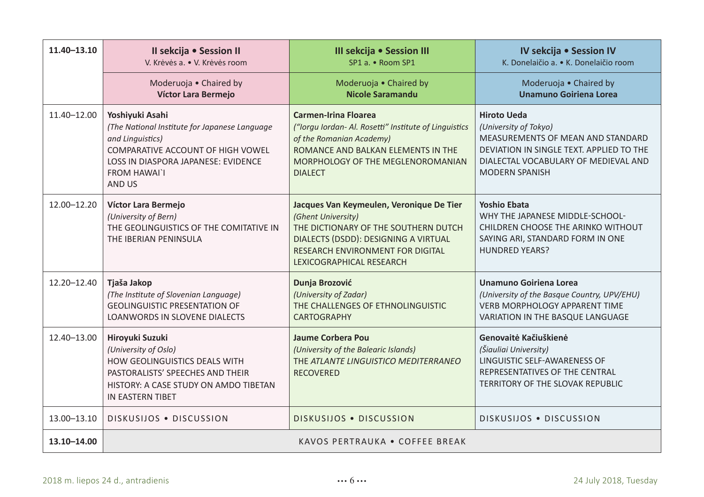| $11.40 - 13.10$ | Il sekcija · Session II<br>V. Krėvės a. • V. Krėvės room                                                                                                                                          | III sekcija · Session III<br>SP1 a. • Room SP1                                                                                                                                                                 | IV sekcija · Session IV<br>K. Donelajčio a. • K. Donelajčio room                                                                                                                              |
|-----------------|---------------------------------------------------------------------------------------------------------------------------------------------------------------------------------------------------|----------------------------------------------------------------------------------------------------------------------------------------------------------------------------------------------------------------|-----------------------------------------------------------------------------------------------------------------------------------------------------------------------------------------------|
|                 | Moderuoja . Chaired by<br>Víctor Lara Bermejo                                                                                                                                                     | Moderuoja . Chaired by<br>Nicole Saramandu                                                                                                                                                                     | Moderuoja . Chaired by<br>Unamuno Goiriena Lorea                                                                                                                                              |
| 11.40-12.00     | Yoshiyuki Asahi<br>(The National Institute for Japanese Language<br>and Linguistics)<br>COMPARATIVE ACCOUNT OF HIGH VOWEL<br>LOSS IN DIASPORA JAPANESE: EVIDENCE<br><b>FROM HAWAI`I</b><br>AND US | Carmen-Irina Floarea<br>("lorgu lordan- Al. Rosetti" Institute of Linguistics<br>of the Romanian Academy)<br>ROMANCE AND BALKAN ELEMENTS IN THE<br>MORPHOLOGY OF THE MEGLENOROMANIAN<br><b>DIALECT</b>         | <b>Hiroto Ueda</b><br>(University of Tokyo)<br>MEASUREMENTS OF MEAN AND STANDARD<br>DEVIATION IN SINGLE TEXT. APPLIED TO THE<br>DIALECTAL VOCABULARY OF MEDIEVAL AND<br><b>MODERN SPANISH</b> |
| 12.00-12.20     | Víctor Lara Bermejo<br>(University of Bern)<br>THE GEOLINGUISTICS OF THE COMITATIVE IN<br>THE IBERIAN PENINSULA                                                                                   | Jacques Van Keymeulen, Veronique De Tier<br>(Ghent University)<br>THE DICTIONARY OF THE SOUTHERN DUTCH<br>DIALECTS (DSDD): DESIGNING A VIRTUAL<br>RESEARCH ENVIRONMENT FOR DIGITAL<br>LEXICOGRAPHICAL RESEARCH | <b>Yoshio Ebata</b><br>WHY THE JAPANESE MIDDLE-SCHOOL-<br>CHILDREN CHOOSE THE ARINKO WITHOUT<br>SAYING ARI, STANDARD FORM IN ONE<br><b>HUNDRED YEARS?</b>                                     |
| $12.20 - 12.40$ | Tjaša Jakop<br>(The Institute of Slovenian Language)<br><b>GEOLINGUISTIC PRESENTATION OF</b><br>LOANWORDS IN SLOVENE DIALECTS                                                                     | Dunja Brozović<br>(University of Zadar)<br>THE CHALLENGES OF ETHNOLINGUISTIC<br><b>CARTOGRAPHY</b>                                                                                                             | Unamuno Goiriena Lorea<br>(University of the Basque Country, UPV/EHU)<br><b>VERB MORPHOLOGY APPARENT TIME</b><br>VARIATION IN THE BASQUE LANGUAGE                                             |
| 12.40-13.00     | Hiroyuki Suzuki<br>(University of Oslo)<br><b>HOW GEOLINGUISTICS DEALS WITH</b><br>PASTORALISTS' SPEECHES AND THEIR<br>HISTORY: A CASE STUDY ON AMDO TIBETAN<br>IN EASTERN TIBET                  | Jaume Corbera Pou<br>(University of the Balearic Islands)<br>THE ATLANTE LINGUISTICO MEDITERRANEO<br><b>RECOVERED</b>                                                                                          | Genovajtė Kačiuškienė<br>(Šiauliai University)<br>LINGUISTIC SELF-AWARENESS OF<br>REPRESENTATIVES OF THE CENTRAL<br>TERRITORY OF THE SLOVAK REPUBLIC                                          |
| 13.00-13.10     | DISKUSIJOS . DISCUSSION                                                                                                                                                                           | <b>DISKUSIJOS . DISCUSSION</b>                                                                                                                                                                                 | DISKUSIJOS . DISCUSSION                                                                                                                                                                       |
| 13.10-14.00     | KAVOS PERTRAUKA • COFFEE BREAK                                                                                                                                                                    |                                                                                                                                                                                                                |                                                                                                                                                                                               |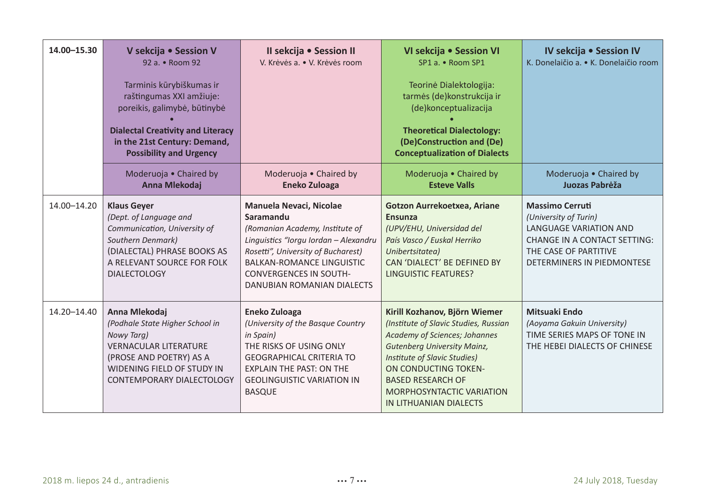| 14.00-15.30 | V sekcija · Session V<br>92 a. • Room 92<br>Tarminis kūrybiškumas ir<br>raštingumas XXI amžiuje:<br>poreikis, galimybė, būtinybė<br><b>Dialectal Creativity and Literacy</b><br>in the 21st Century: Demand,<br><b>Possibility and Urgency</b> | Il sekcija · Session II<br>V. Krėvės a. • V. Krėvės room                                                                                                                                                                                                  | VI sekcija · Session VI<br>SP1 a. • Room SP1<br>Teorinė Dialektologija:<br>tarmės (de)konstrukcija ir<br>(de)konceptualizacija<br><b>Theoretical Dialectology:</b><br>(De)Construction and (De)<br><b>Conceptualization of Dialects</b>                                                  | IV sekcija · Session IV<br>K. Donelajčio a. • K. Donelajčio room                                                                                                                      |
|-------------|------------------------------------------------------------------------------------------------------------------------------------------------------------------------------------------------------------------------------------------------|-----------------------------------------------------------------------------------------------------------------------------------------------------------------------------------------------------------------------------------------------------------|------------------------------------------------------------------------------------------------------------------------------------------------------------------------------------------------------------------------------------------------------------------------------------------|---------------------------------------------------------------------------------------------------------------------------------------------------------------------------------------|
|             | Moderuoja . Chaired by<br>Anna Mlekodaj                                                                                                                                                                                                        | Moderuoja . Chaired by<br>Eneko Zuloaga                                                                                                                                                                                                                   | Moderuoja • Chaired by<br><b>Esteve Valls</b>                                                                                                                                                                                                                                            | Moderuoja • Chaired by<br>Juozas Pabrėža                                                                                                                                              |
| 14.00-14.20 | <b>Klaus Gever</b><br>(Dept. of Language and<br>Communication, University of<br>Southern Denmark)<br>(DIALECTAL) PHRASE BOOKS AS<br>A RELEVANT SOURCE FOR FOLK<br><b>DIALECTOLOGY</b>                                                          | Manuela Nevaci, Nicolae<br>Saramandu<br>(Romanian Academy, Institute of<br>Linguistics "Iorgu Iordan - Alexandru<br>Rosetti", University of Bucharest)<br><b>BALKAN-ROMANCE LINGUISTIC</b><br><b>CONVERGENCES IN SOUTH-</b><br>DANUBIAN ROMANIAN DIALECTS | Gotzon Aurrekoetxea, Ariane<br>Ensunza<br>(UPV/EHU, Universidad del<br>País Vasco / Euskal Herriko<br>Unibertsitatea)<br>CAN 'DIALECT' BE DEFINED BY<br><b>LINGUISTIC FEATURES?</b>                                                                                                      | <b>Massimo Cerruti</b><br>(University of Turin)<br><b>LANGUAGE VARIATION AND</b><br><b>CHANGE IN A CONTACT SETTING:</b><br>THE CASE OF PARTITIVE<br><b>DETERMINERS IN PIEDMONTESE</b> |
| 14.20-14.40 | Anna Mlekodaj<br>(Podhale State Higher School in<br>Nowy Targ)<br><b>VERNACULAR LITERATURE</b><br>(PROSE AND POETRY) AS A<br>WIDENING FIELD OF STUDY IN<br>CONTEMPORARY DIALECTOLOGY                                                           | Eneko Zuloaga<br>(University of the Basque Country<br>in Spain)<br>THE RISKS OF USING ONLY<br><b>GEOGRAPHICAL CRITERIA TO</b><br><b>EXPLAIN THE PAST: ON THE</b><br><b>GEOLINGUISTIC VARIATION IN</b><br><b>BASQUE</b>                                    | Kirill Kozhanov, Björn Wiemer<br>(Institute of Slavic Studies, Russian<br>Academy of Sciences; Johannes<br>Gutenberg University Mainz,<br><b>Institute of Slavic Studies)</b><br>ON CONDUCTING TOKEN-<br><b>BASED RESEARCH OF</b><br>MORPHOSYNTACTIC VARIATION<br>IN LITHUANIAN DIALECTS | Mitsuaki Endo<br>(Aoyama Gakuin University)<br>TIME SERIES MAPS OF TONE IN<br>THE HEBEI DIALECTS OF CHINESE                                                                           |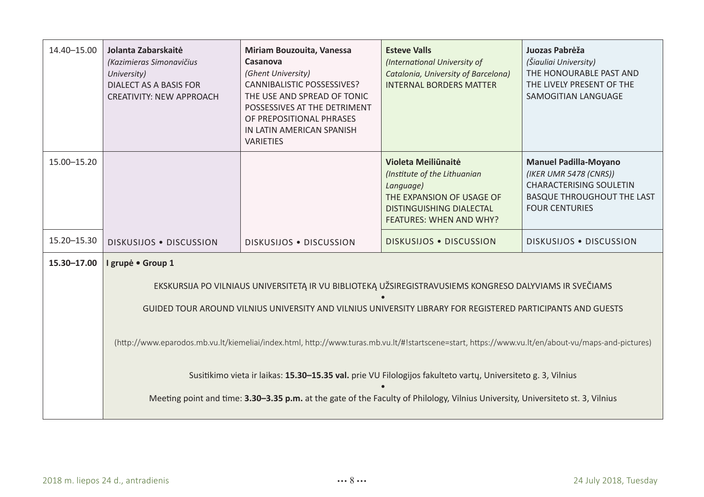| 14.40-15.00   | Jolanta Zabarskaitė<br>(Kazimieras Simonavičius<br>University)<br>DIALECT AS A BASIS FOR<br><b>CREATIVITY: NEW APPROACH</b>                        | Miriam Bouzouita, Vanessa<br>Casanova<br>(Ghent University)<br>CANNIBALISTIC POSSESSIVES?<br>THE USE AND SPREAD OF TONIC<br>POSSESSIVES AT THE DETRIMENT<br>OF PREPOSITIONAL PHRASES<br>IN LATIN AMERICAN SPANISH<br><b>VARIETIES</b> | <b>Esteve Valls</b><br>(International University of<br>Catalonia, University of Barcelona)<br><b>INTERNAL BORDERS MATTER</b>                                | Juozas Pabrėža<br>(Šiauliai University)<br>THE HONOURABLE PAST AND<br>THE LIVELY PRESENT OF THE<br>SAMOGITIAN LANGUAGE                                 |
|---------------|----------------------------------------------------------------------------------------------------------------------------------------------------|---------------------------------------------------------------------------------------------------------------------------------------------------------------------------------------------------------------------------------------|-------------------------------------------------------------------------------------------------------------------------------------------------------------|--------------------------------------------------------------------------------------------------------------------------------------------------------|
| 15.00-15.20   |                                                                                                                                                    |                                                                                                                                                                                                                                       | Violeta Meiliūnaitė<br>(Institute of the Lithuanian<br>Language)<br>THE EXPANSION OF USAGE OF<br>DISTINGUISHING DIALECTAL<br><b>FEATURES: WHEN AND WHY?</b> | <b>Manuel Padilla-Moyano</b><br>(IKER UMR 5478 (CNRS))<br><b>CHARACTERISING SOULETIN</b><br><b>BASQUE THROUGHOUT THE LAST</b><br><b>FOUR CENTURIES</b> |
| 15.20 - 15.30 | DISKUSIJOS . DISCUSSION                                                                                                                            | <b>DISKUSIJOS . DISCUSSION</b>                                                                                                                                                                                                        | <b>DISKUSIJOS . DISCUSSION</b>                                                                                                                              | <b>DISKUSIJOS . DISCUSSION</b>                                                                                                                         |
| 15.30-17.00   | I grupė · Group 1                                                                                                                                  |                                                                                                                                                                                                                                       |                                                                                                                                                             |                                                                                                                                                        |
|               |                                                                                                                                                    |                                                                                                                                                                                                                                       | EKSKURSIJA PO VILNIAUS UNIVERSITETĄ IR VU BIBLIOTEKĄ UŽSIREGISTRAVUSIEMS KONGRESO DALYVIAMS IR SVEČIAMS                                                     |                                                                                                                                                        |
|               | GUIDED TOUR AROUND VILNIUS UNIVERSITY AND VILNIUS UNIVERSITY LIBRARY FOR REGISTERED PARTICIPANTS AND GUESTS                                        |                                                                                                                                                                                                                                       |                                                                                                                                                             |                                                                                                                                                        |
|               | (http://www.eparodos.mb.vu.lt/kiemeliai/index.html, http://www.turas.mb.vu.lt/#!startscene=start, https://www.vu.lt/en/about-vu/maps-and-pictures) |                                                                                                                                                                                                                                       |                                                                                                                                                             |                                                                                                                                                        |
|               |                                                                                                                                                    |                                                                                                                                                                                                                                       | Susitikimo vieta ir laikas: 15.30-15.35 val. prie VU Filologijos fakulteto vartų, Universiteto g. 3, Vilnius                                                |                                                                                                                                                        |
|               |                                                                                                                                                    |                                                                                                                                                                                                                                       | Meeting point and time: 3.30-3.35 p.m. at the gate of the Faculty of Philology, Vilnius University, Universiteto st. 3, Vilnius                             |                                                                                                                                                        |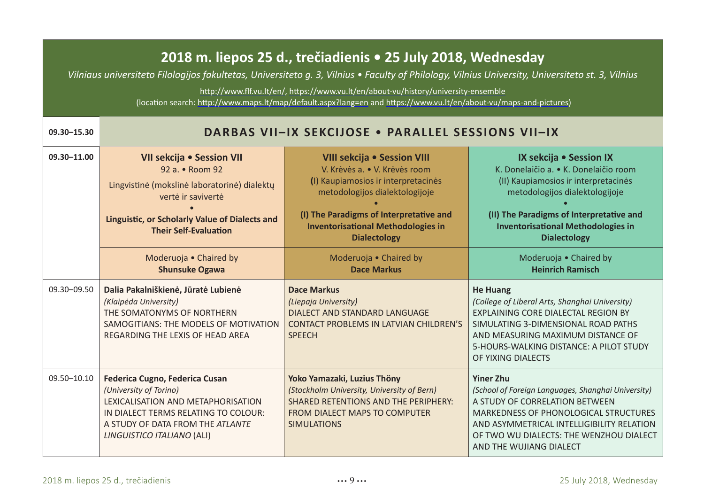#### **2018 m. liepos 25 d., trečiadienis • 25 July 2018, Wednesday**

*Vilniaus universiteto Filologijos fakultetas, Universiteto g. 3, Vilnius • Faculty of Philology, Vilnius University, Universiteto st. 3, Vilnius*

http://www.flf.vu.lt/en/, https://www.vu.lt/en/about-vu/history/university-ensemble (location search: http://www.maps.lt/map/default.aspx?lang=en and https://www.vu.lt/en/about-vu/maps-and-pictures)

**09.30–15.30 DARBAS VII–IX SEKCIJOSE** • **PARALLEL SESSIONS VII–IX**

| ,,,,,,,,,,, | DANDAS VIITIA SENLIJUSE * FANALLEL SESSIUNS VIITIA                                                                                                                                                       |                                                                                                                                                                                                                                                      |                                                                                                                                                                                                                                                                             |
|-------------|----------------------------------------------------------------------------------------------------------------------------------------------------------------------------------------------------------|------------------------------------------------------------------------------------------------------------------------------------------------------------------------------------------------------------------------------------------------------|-----------------------------------------------------------------------------------------------------------------------------------------------------------------------------------------------------------------------------------------------------------------------------|
| 09.30-11.00 | VII sekcija • Session VII<br>92 a. • Room 92<br>Lingvistinė (mokslinė laboratorinė) dialektų<br>verté ir saviverté<br>Linguistic, or Scholarly Value of Dialects and<br><b>Their Self-Evaluation</b>     | VIII sekcija • Session VIII<br>V. Krėvės a. • V. Krėvės room<br>(I) Kaupiamosios ir interpretacinės<br>metodologijos dialektologijoje<br>(I) The Paradigms of Interpretative and<br><b>Inventorisational Methodologies in</b><br><b>Dialectology</b> | IX sekcija • Session IX<br>K. Donelaičio a. • K. Donelaičio room<br>(II) Kaupiamosios ir interpretacinės<br>metodologijos dialektologijoje<br>(II) The Paradigms of Interpretative and<br><b>Inventorisational Methodologies in</b><br><b>Dialectology</b>                  |
|             | Moderuoja . Chaired by<br><b>Shunsuke Ogawa</b>                                                                                                                                                          | Moderuoja • Chaired by<br><b>Dace Markus</b>                                                                                                                                                                                                         | Moderuoja . Chaired by<br><b>Heinrich Ramisch</b>                                                                                                                                                                                                                           |
| 09.30-09.50 | Dalia Pakalniškienė, Jūratė Lubienė<br>(Klaipėda University)<br>THE SOMATONYMS OF NORTHERN<br>SAMOGITIANS: THE MODELS OF MOTIVATION<br>REGARDING THE LEXIS OF HEAD AREA                                  | Dace Markus<br>(Liepaja University)<br><b>DIALECT AND STANDARD LANGUAGE</b><br><b>CONTACT PROBLEMS IN LATVIAN CHILDREN'S</b><br><b>SPEECH</b>                                                                                                        | <b>He Huang</b><br>(College of Liberal Arts, Shanghai University)<br>EXPLAINING CORE DIALECTAL REGION BY<br>SIMULATING 3-DIMENSIONAL ROAD PATHS<br>AND MEASURING MAXIMUM DISTANCE OF<br>5-HOURS-WALKING DISTANCE: A PILOT STUDY<br>OF YIXING DIALECTS                       |
| 09.50-10.10 | Federica Cugno, Federica Cusan<br>(University of Torino)<br>LEXICALISATION AND METAPHORISATION<br>IN DIALECT TERMS RELATING TO COLOUR:<br>A STUDY OF DATA FROM THE ATLANTE<br>LINGUISTICO ITALIANO (ALI) | Yoko Yamazaki, Luzius Thöny<br>(Stockholm University, University of Bern)<br><b>SHARED RETENTIONS AND THE PERIPHERY:</b><br><b>FROM DIALECT MAPS TO COMPUTER</b><br><b>SIMULATIONS</b>                                                               | <b>Yiner Zhu</b><br>(School of Foreign Languages, Shanghai University)<br>A STUDY OF CORRELATION BETWEEN<br><b>MARKEDNESS OF PHONOLOGICAL STRUCTURES</b><br>AND ASYMMETRICAL INTELLIGIBILITY RELATION<br>OF TWO WU DIALECTS: THE WENZHOU DIALECT<br>AND THE WUJIANG DIALECT |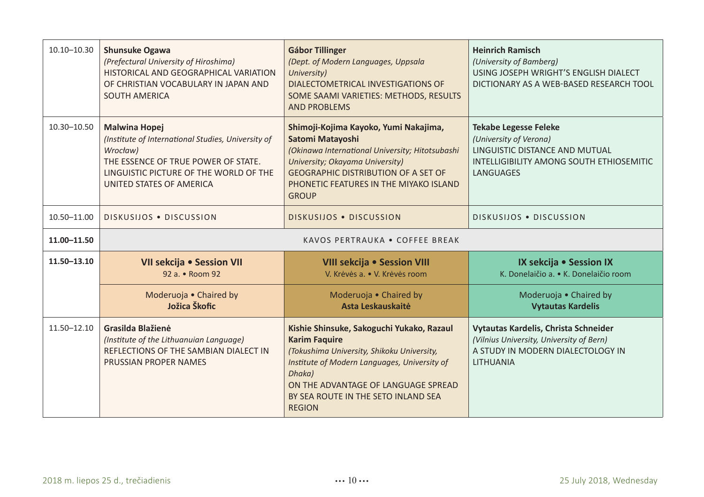| $10.10 - 10.30$ | <b>Shunsuke Ogawa</b><br>(Prefectural University of Hiroshima)<br>HISTORICAL AND GEOGRAPHICAL VARIATION<br>OF CHRISTIAN VOCABULARY IN JAPAN AND<br><b>SOUTH AMERICA</b>                             | Gábor Tillinger<br>(Dept. of Modern Languages, Uppsala<br>University)<br>DIALECTOMETRICAL INVESTIGATIONS OF<br>SOME SAAMI VARIETIES: METHODS, RESULTS<br><b>AND PROBLEMS</b>                                                                            | <b>Heinrich Ramisch</b><br>(University of Bamberg)<br>USING JOSEPH WRIGHT'S ENGLISH DIALECT<br>DICTIONARY AS A WEB-BASED RESEARCH TOOL            |
|-----------------|-----------------------------------------------------------------------------------------------------------------------------------------------------------------------------------------------------|---------------------------------------------------------------------------------------------------------------------------------------------------------------------------------------------------------------------------------------------------------|---------------------------------------------------------------------------------------------------------------------------------------------------|
| 10.30-10.50     | <b>Malwina Hopei</b><br>(Institute of International Studies, University of<br>Wrocław)<br>THE ESSENCE OF TRUE POWER OF STATE.<br>LINGUISTIC PICTURE OF THE WORLD OF THE<br>UNITED STATES OF AMERICA | Shimoji-Kojima Kayoko, Yumi Nakajima,<br>Satomi Matayoshi<br>(Okinawa International University; Hitotsubashi<br>University; Okayama University)<br><b>GEOGRAPHIC DISTRIBUTION OF A SET OF</b><br>PHONETIC FEATURES IN THE MIYAKO ISLAND<br><b>GROUP</b> | <b>Tekabe Legesse Feleke</b><br>(University of Verona)<br>LINGUISTIC DISTANCE AND MUTUAL<br>INTELLIGIBILITY AMONG SOUTH ETHIOSEMITIC<br>LANGUAGES |
| 10.50-11.00     | DISKUSIJOS . DISCUSSION                                                                                                                                                                             | DISKUSIJOS . DISCUSSION                                                                                                                                                                                                                                 | <b>DISKUSIJOS . DISCUSSION</b>                                                                                                                    |
|                 | KAVOS PERTRAUKA . COFFEE BREAK                                                                                                                                                                      |                                                                                                                                                                                                                                                         |                                                                                                                                                   |
| 11.00-11.50     |                                                                                                                                                                                                     |                                                                                                                                                                                                                                                         |                                                                                                                                                   |
| 11.50-13.10     | VII sekcija · Session VII<br>92 a. • Room 92                                                                                                                                                        | VIII sekcija · Session VIII<br>V. Krėvės a. • V. Krėvės room                                                                                                                                                                                            | IX sekcija · Session IX<br>K. Donelaičio a. • K. Donelaičio room                                                                                  |
|                 | Moderuoja • Chaired by<br>Jožica Škofic                                                                                                                                                             | Moderuoja • Chaired by<br>Asta Leskauskaitė                                                                                                                                                                                                             | Moderuoja . Chaired by<br><b>Vytautas Kardelis</b>                                                                                                |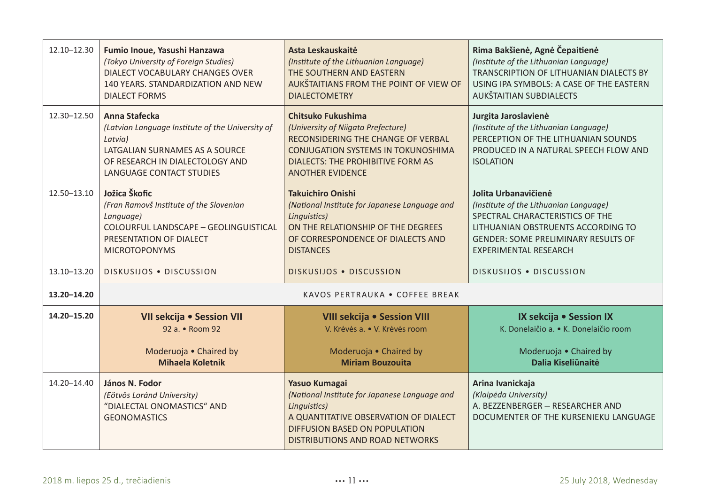| 12.10-12.30 | Fumio Inoue, Yasushi Hanzawa<br>(Tokyo University of Foreign Studies)<br><b>DIALECT VOCABULARY CHANGES OVER</b><br>140 YEARS. STANDARDIZATION AND NEW<br><b>DIALECT FORMS</b>        | Asta Leskauskaitė<br>(Institute of the Lithuanian Language)<br>THE SOUTHERN AND EASTERN<br>AUKŠTAITIANS FROM THE POINT OF VIEW OF<br><b>DIALECTOMETRY</b>                                                   | Rima Bakšienė, Agnė Čepaitienė<br>(Institute of the Lithuanian Language)<br>TRANSCRIPTION OF LITHUANIAN DIALECTS BY<br>USING IPA SYMBOLS: A CASE OF THE EASTERN<br>AUKŠTAITIAN SUBDIALECTS                            |
|-------------|--------------------------------------------------------------------------------------------------------------------------------------------------------------------------------------|-------------------------------------------------------------------------------------------------------------------------------------------------------------------------------------------------------------|-----------------------------------------------------------------------------------------------------------------------------------------------------------------------------------------------------------------------|
| 12.30-12.50 | Anna Stafecka<br>(Latvian Language Institute of the University of<br>Latvia)<br>LATGALIAN SURNAMES AS A SOURCE<br>OF RESEARCH IN DIALECTOLOGY AND<br><b>LANGUAGE CONTACT STUDIES</b> | Chitsuko Fukushima<br>(University of Niigata Prefecture)<br>RECONSIDERING THE CHANGE OF VERBAL<br><b>CONJUGATION SYSTEMS IN TOKUNOSHIMA</b><br>DIALECTS: THE PROHIBITIVE FORM AS<br><b>ANOTHER EVIDENCE</b> | Jurgita Jaroslavienė<br>(Institute of the Lithuanian Language)<br>PERCEPTION OF THE LITHUANIAN SOUNDS<br>PRODUCED IN A NATURAL SPEECH FLOW AND<br><b>ISOLATION</b>                                                    |
| 12.50-13.10 | Jožica Škofic<br>(Fran Ramovš Institute of the Slovenian<br>Language)<br>COLOURFUL LANDSCAPE - GEOLINGUISTICAL<br>PRESENTATION OF DIALECT<br><b>MICROTOPONYMS</b>                    | <b>Takuichiro Onishi</b><br>(National Institute for Japanese Language and<br>Linguistics)<br>ON THE RELATIONSHIP OF THE DEGREES<br>OF CORRESPONDENCE OF DIALECTS AND<br><b>DISTANCES</b>                    | Jolita Urbanavičienė<br>(Institute of the Lithuanian Language)<br>SPECTRAL CHARACTERISTICS OF THE<br>LITHUANIAN OBSTRUENTS ACCORDING TO<br><b>GENDER: SOME PRELIMINARY RESULTS OF</b><br><b>EXPERIMENTAL RESEARCH</b> |
| 13.10-13.20 | DISKUSIJOS . DISCUSSION                                                                                                                                                              | DISKUSIJOS . DISCUSSION                                                                                                                                                                                     | DISKUSIJOS . DISCUSSION                                                                                                                                                                                               |
| 13.20-14.20 |                                                                                                                                                                                      | KAVOS PERTRAUKA . COFFEE BREAK                                                                                                                                                                              |                                                                                                                                                                                                                       |
| 14.20-15.20 | VII sekcija · Session VII<br>92 a. • Room 92<br>Moderuoja · Chaired by<br><b>Mihaela Koletnik</b>                                                                                    | VIII sekcija · Session VIII<br>V. Krėvės a. • V. Krėvės room<br>Moderuoja . Chaired by<br><b>Miriam Bouzouita</b>                                                                                           | IX sekcija · Session IX<br>K. Donelaičio a. • K. Donelaičio room<br>Moderuoja . Chaired by<br>Dalia Kiseliūnaitė                                                                                                      |
| 14.20-14.40 | János N. Fodor<br>(Eötvös Loránd University)<br>"DIALECTAL ONOMASTICS" AND<br><b>GEONOMASTICS</b>                                                                                    | Yasuo Kumagai<br>(National Institute for Japanese Language and<br>Linguistics)<br>A QUANTITATIVE OBSERVATION OF DIALECT<br>DIFFUSION BASED ON POPULATION<br>DISTRIBUTIONS AND ROAD NETWORKS                 | Arina Ivanickaja<br>(Klaipėda University)<br>A. BEZZENBERGER - RESEARCHER AND<br>DOCUMENTER OF THE KURSENIEKU LANGUAGE                                                                                                |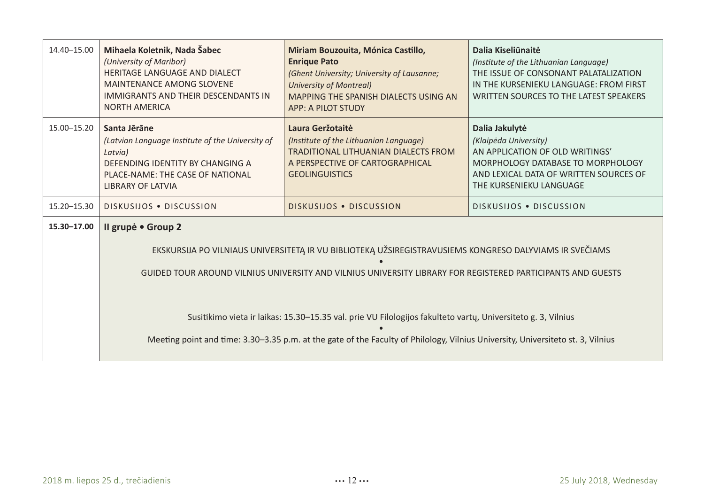| 14.40-15.00   | Mihaela Koletnik, Nada Šabec<br>(University of Maribor)<br>HERITAGE LANGUAGE AND DIALECT<br><b>MAINTENANCE AMONG SLOVENE</b><br><b>IMMIGRANTS AND THEIR DESCENDANTS IN</b><br><b>NORTH AMERICA</b> | Miriam Bouzouita, Mónica Castillo,<br><b>Enrique Pato</b><br>(Ghent University; University of Lausanne;<br><b>University of Montreal)</b><br>MAPPING THE SPANISH DIALECTS USING AN<br><b>APP: A PILOT STUDY</b>                                 | Dalia Kiseliūnaitė<br>(Institute of the Lithuanian Language)<br>THE ISSUE OF CONSONANT PALATALIZATION<br>IN THE KURSENIEKU LANGUAGE: FROM FIRST<br>WRITTEN SOURCES TO THE LATEST SPEAKERS |
|---------------|----------------------------------------------------------------------------------------------------------------------------------------------------------------------------------------------------|-------------------------------------------------------------------------------------------------------------------------------------------------------------------------------------------------------------------------------------------------|-------------------------------------------------------------------------------------------------------------------------------------------------------------------------------------------|
| 15.00-15.20   | Santa Jērāne<br>(Latvian Language Institute of the University of<br>Latvia)<br>DEFENDING IDENTITY BY CHANGING A<br>PLACE-NAME: THE CASE OF NATIONAL<br><b>LIBRARY OF LATVIA</b>                    | Laura Geržotaitė<br>(Institute of the Lithuanian Language)<br><b>TRADITIONAL LITHUANIAN DIALECTS FROM</b><br>A PERSPECTIVE OF CARTOGRAPHICAL<br><b>GEOLINGUISTICS</b>                                                                           | Dalia Jakulytė<br>(Klaipėda University)<br>AN APPLICATION OF OLD WRITINGS'<br>MORPHOLOGY DATABASE TO MORPHOLOGY<br>AND LEXICAL DATA OF WRITTEN SOURCES OF<br>THE KURSENIEKU LANGUAGE      |
| 15.20 - 15.30 | DISKUSIJOS . DISCUSSION                                                                                                                                                                            | DISKUSIJOS . DISCUSSION                                                                                                                                                                                                                         | DISKUSIJOS . DISCUSSION                                                                                                                                                                   |
| 15.30-17.00   | Il grupė • Group 2                                                                                                                                                                                 | EKSKURSIJA PO VILNIAUS UNIVERSITETĄ IR VU BIBLIOTEKĄ UŽSIREGISTRAVUSIEMS KONGRESO DALYVIAMS IR SVEČIAMS<br>GUIDED TOUR AROUND VILNIUS UNIVERSITY AND VILNIUS UNIVERSITY LIBRARY FOR REGISTERED PARTICIPANTS AND GUESTS                          |                                                                                                                                                                                           |
|               |                                                                                                                                                                                                    | Susitikimo vieta ir laikas: 15.30-15.35 val. prie VU Filologijos fakulteto vartų, Universiteto g. 3, Vilnius<br>Meeting point and time: 3.30–3.35 p.m. at the gate of the Faculty of Philology, Vilnius University, Universiteto st. 3, Vilnius |                                                                                                                                                                                           |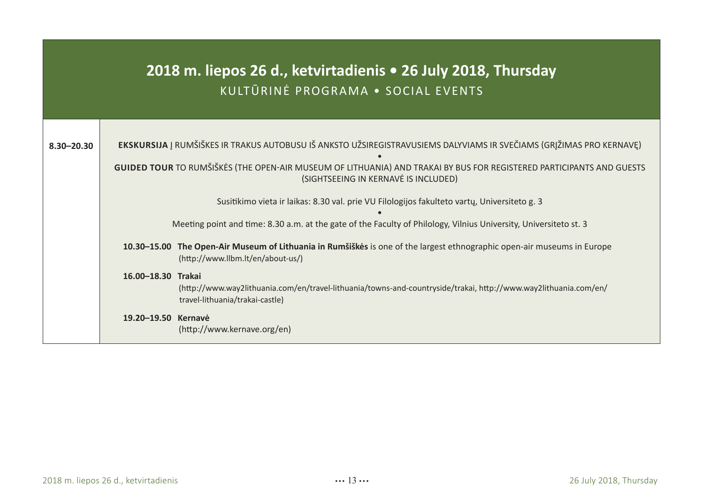| 2018 m. liepos 26 d., ketvirtadienis • 26 July 2018, Thursday<br>KULTŪRINĖ PROGRAMA · SOCIAL EVENTS |                                                                                                                                                                           |  |  |  |
|-----------------------------------------------------------------------------------------------------|---------------------------------------------------------------------------------------------------------------------------------------------------------------------------|--|--|--|
|                                                                                                     |                                                                                                                                                                           |  |  |  |
| $8.30 - 20.30$                                                                                      | EKSKURSIJA Į RUMŠIŠKES IR TRAKUS AUTOBUSU IŠ ANKSTO UŽSIREGISTRAVUSIEMS DALYVIAMS IR SVEČIAMS (GRĮŽIMAS PRO KERNAVE)                                                      |  |  |  |
|                                                                                                     | GUIDED TOUR TO RUMŠIŠKĖS (THE OPEN-AIR MUSEUM OF LITHUANIA) AND TRAKAI BY BUS FOR REGISTERED PARTICIPANTS AND GUESTS<br>(SIGHTSEEING IN KERNAVE IS INCLUDED)              |  |  |  |
|                                                                                                     | Susitikimo vieta ir laikas: 8.30 val. prie VU Filologijos fakulteto vartų, Universiteto g. 3                                                                              |  |  |  |
|                                                                                                     | Meeting point and time: 8.30 a.m. at the gate of the Faculty of Philology, Vilnius University, Universiteto st. 3                                                         |  |  |  |
|                                                                                                     | The Open-Air Museum of Lithuania in Rumšiškės is one of the largest ethnographic open-air museums in Europe<br>10.30-15.00<br>(http://www.llbm.lt/en/about-us/)           |  |  |  |
|                                                                                                     | 16.00-18.30 Trakai<br>(http://www.way2lithuania.com/en/travel-lithuania/towns-and-countryside/trakai, http://www.way2lithuania.com/en/<br>travel-lithuania/trakai-castle) |  |  |  |
|                                                                                                     | 19.20-19.50 Kernavė<br>(http://www.kernave.org/en)                                                                                                                        |  |  |  |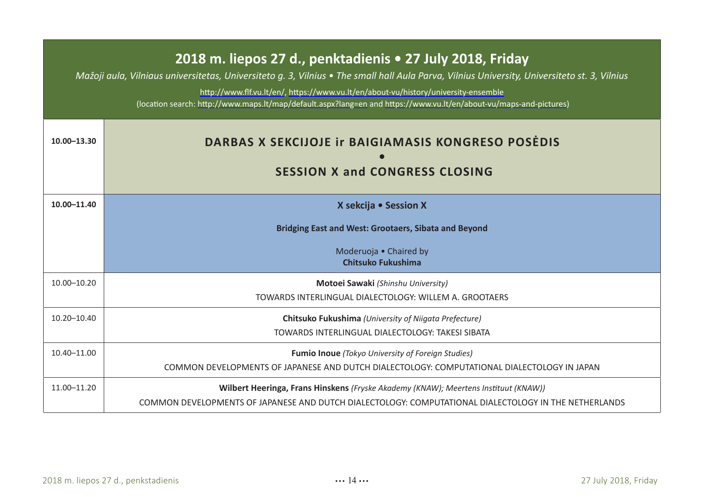| 2018 m. liepos 27 d., penktadienis • 27 July 2018, Friday<br>Mažoji aula, Vilniaus universitetas, Universiteto q. 3, Vilnius • The small hall Aula Parva, Vilnius University, Universiteto st. 3, Vilnius<br>http://www.flf.vu.lt/en/, https://www.vu.lt/en/about-vu/history/university-ensemble<br>(location search: http://www.maps.lt/map/default.aspx?lang=en and https://www.vu.lt/en/about-vu/maps-and-pictures) |                                                                                                       |  |
|------------------------------------------------------------------------------------------------------------------------------------------------------------------------------------------------------------------------------------------------------------------------------------------------------------------------------------------------------------------------------------------------------------------------|-------------------------------------------------------------------------------------------------------|--|
| 10.00-13.30                                                                                                                                                                                                                                                                                                                                                                                                            | <b>DARBAS X SEKCIJOJE IT BAIGIAMASIS KONGRESO POSEDIS</b><br><b>SESSION X and CONGRESS CLOSING</b>    |  |
| 10.00-11.40                                                                                                                                                                                                                                                                                                                                                                                                            | X sekcija • Session X                                                                                 |  |
|                                                                                                                                                                                                                                                                                                                                                                                                                        | Bridging East and West: Grootaers, Sibata and Beyond                                                  |  |
|                                                                                                                                                                                                                                                                                                                                                                                                                        | Moderuoja . Chaired by<br>Chitsuko Fukushima                                                          |  |
| $10.00 - 10.20$                                                                                                                                                                                                                                                                                                                                                                                                        | Motoei Sawaki (Shinshu University)                                                                    |  |
|                                                                                                                                                                                                                                                                                                                                                                                                                        | TOWARDS INTERLINGUAL DIALECTOLOGY: WILLEM A. GROOTAERS                                                |  |
| $10.20 - 10.40$                                                                                                                                                                                                                                                                                                                                                                                                        | Chitsuko Fukushima (University of Niigata Prefecture)                                                 |  |
|                                                                                                                                                                                                                                                                                                                                                                                                                        | TOWARDS INTERLINGUAL DIALECTOLOGY: TAKESI SIBATA                                                      |  |
| $10.40 - 11.00$                                                                                                                                                                                                                                                                                                                                                                                                        | <b>Fumio Inoue</b> (Tokyo University of Foreign Studies)                                              |  |
|                                                                                                                                                                                                                                                                                                                                                                                                                        | COMMON DEVELOPMENTS OF JAPANESE AND DUTCH DIALECTOLOGY: COMPUTATIONAL DIALECTOLOGY IN JAPAN           |  |
| 11.00-11.20                                                                                                                                                                                                                                                                                                                                                                                                            | Wilbert Heeringa, Frans Hinskens (Fryske Akademy (KNAW); Meertens Instituut (KNAW))                   |  |
|                                                                                                                                                                                                                                                                                                                                                                                                                        | COMMON DEVELOPMENTS OF JAPANESE AND DUTCH DIALECTOLOGY: COMPUTATIONAL DIALECTOLOGY IN THE NETHERLANDS |  |